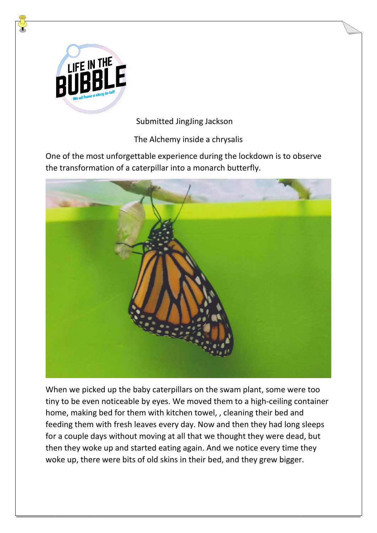

Submitted JingJing Jackson

The Alchemy inside a chrysalis

One of the most unforgettable experience during the lockdown is to observe the transformation of a caterpillar into a monarch butterfly.



When we picked up the baby caterpillars on the swam plant, some were too tiny to be even noticeable by eyes. We moved them to a high-ceiling container home, making bed for them with kitchen towel, , cleaning their bed and feeding them with fresh leaves every day. Now and then they had long sleeps for a couple days without moving at all that we thought they were dead, but then they woke up and started eating again. And we notice every time they woke up, there were bits of old skins in their bed, and they grew bigger.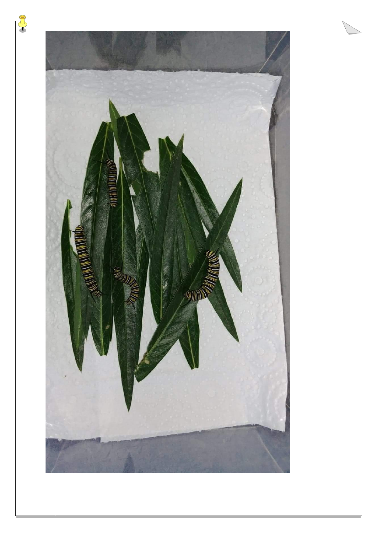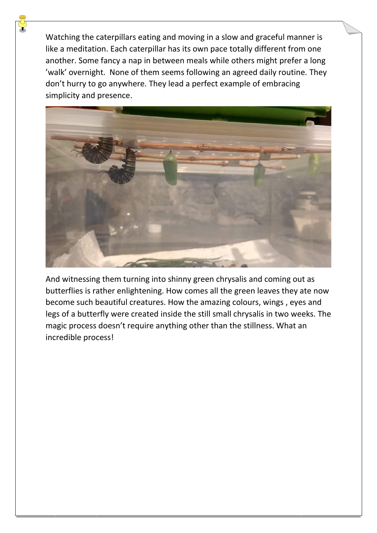Watching the caterpillars eating and moving in a slow and graceful manner is like a meditation. Each caterpillar has its own pace totally different from one another. Some fancy a nap in between meals while others might prefer a long 'walk' overnight. None of them seems following an agreed daily routine. They don't hurry to go anywhere. They lead a perfect example of embracing simplicity and presence.



And witnessing them turning into shinny green chrysalis and coming out as butterflies is rather enlightening. How comes all the green leaves they ate now become such beautiful creatures. How the amazing colours, wings , eyes and legs of a butterfly were created inside the still small chrysalis in two weeks. The magic process doesn't require anything other than the stillness. What an incredible process!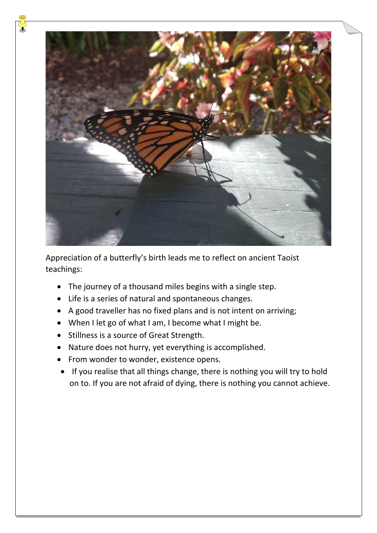

Appreciation of a butterfly's birth leads me to reflect on ancient Taoist teachings:

- The journey of a thousand miles begins with a single step.
- Life is a series of natural and spontaneous changes.
- A good traveller has no fixed plans and is not intent on arriving;
- When I let go of what I am, I become what I might be.
- Stillness is a source of Great Strength.
- Nature does not hurry, yet everything is accomplished.
- From wonder to wonder, existence opens.
- If you realise that all things change, there is nothing you will try to hold on to. If you are not afraid of dying, there is nothing you cannot achieve.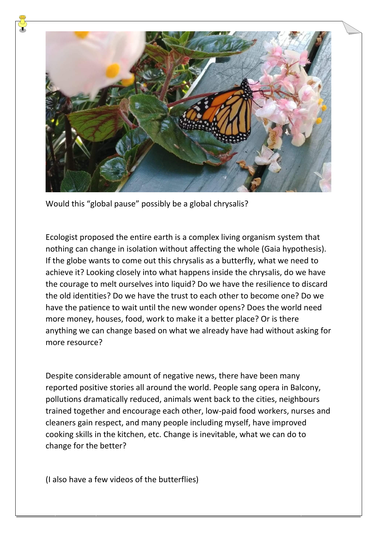

Would this "global pause" possibly be a global chrysalis?

Ecologist proposed the entire earth is a complex living organism system that nothing can change in isolation without affecting the whole (Gaia hypothesis). If the globe wants to come out this chrysalis as a butterfly, what we need to achieve it? Looking closely into what happens inside the chrysalis, do we have the courage to melt ourselves into liquid? Do we have the resilience to discard the old identities? Do we have the trust to each other to become one? Do we have the patience to wait until the new wonder opens? Does the world need more money, houses, food, work to make it a better place? Or is there anything we can change based on what we already have had without asking for more resource?

Despite considerable amount of negative news, there have been many reported positive stories all around the world. People sang opera in Balcony, pollutions dramatically reduced, animals went back to the cities, neighbours trained together and encourage each other, low-paid food workers, nurses and cleaners gain respect, and many people including myself, have improved cooking skills in the kitchen, etc. Change is inevitable, what we can do to change for the better?

(I also have a few videos of the butterflies)